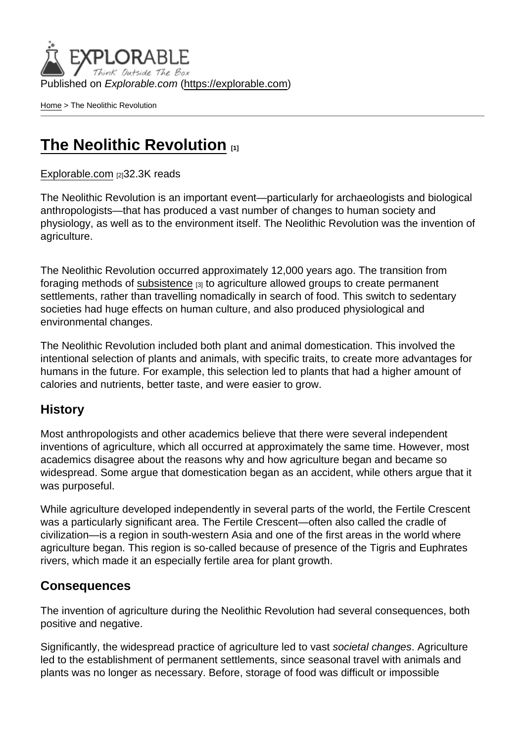Published on Explorable.com (<https://explorable.com>)

[Home](https://explorable.com/) > The Neolithic Revolution

## [The Neolithic Revolution](https://explorable.com/neolithic-revolution) [1]

[Explorable.com](https://explorable.com/) [2]32.3K reads

The Neolithic Revolution is an important event—particularly for archaeologists and biological anthropologists—that has produced a vast number of changes to human society and physiology, as well as to the environment itself. The Neolithic Revolution was the invention of agriculture.

The Neolithic Revolution occurred approximately 12,000 years ago. The transition from foraging methods of [subsistence](https://explorable.com/subsistence/) [3] to agriculture allowed groups to create permanent settlements, rather than travelling nomadically in search of food. This switch to sedentary societies had huge effects on human culture, and also produced physiological and environmental changes.

The Neolithic Revolution included both plant and animal domestication. This involved the intentional selection of plants and animals, with specific traits, to create more advantages for humans in the future. For example, this selection led to plants that had a higher amount of calories and nutrients, better taste, and were easier to grow.

## **History**

Most anthropologists and other academics believe that there were several independent inventions of agriculture, which all occurred at approximately the same time. However, most academics disagree about the reasons why and how agriculture began and became so widespread. Some argue that domestication began as an accident, while others argue that it was purposeful.

While agriculture developed independently in several parts of the world, the Fertile Crescent was a particularly significant area. The Fertile Crescent—often also called the cradle of civilization—is a region in south-western Asia and one of the first areas in the world where agriculture began. This region is so-called because of presence of the Tigris and Euphrates rivers, which made it an especially fertile area for plant growth.

## Consequences

The invention of agriculture during the Neolithic Revolution had several consequences, both positive and negative.

Significantly, the widespread practice of agriculture led to vast societal changes. Agriculture led to the establishment of permanent settlements, since seasonal travel with animals and plants was no longer as necessary. Before, storage of food was difficult or impossible